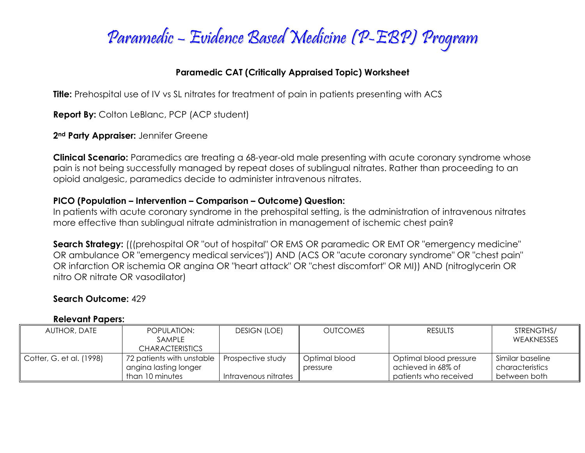

# **Paramedic CAT (Critically Appraised Topic) Worksheet**

**Title:** Prehospital use of IV vs SL nitrates for treatment of pain in patients presenting with ACS

**Report By:** Colton LeBlanc, PCP (ACP student)

**2nd Party Appraiser:** Jennifer Greene

**Clinical Scenario:** Paramedics are treating a 68-year-old male presenting with acute coronary syndrome whose pain is not being successfully managed by repeat doses of sublingual nitrates. Rather than proceeding to an opioid analgesic, paramedics decide to administer intravenous nitrates.

### **PICO (Population – Intervention – Comparison – Outcome) Question:**

In patients with acute coronary syndrome in the prehospital setting, is the administration of intravenous nitrates more effective than sublingual nitrate administration in management of ischemic chest pain?

**Search Strategy:** (((prehospital OR "out of hospital" OR EMS OR paramedic OR EMT OR "emergency medicine" OR ambulance OR "emergency medical services")) AND (ACS OR "acute coronary syndrome" OR "chest pain" OR infarction OR ischemia OR angina OR "heart attack" OR "chest discomfort" OR MI)) AND (nitroglycerin OR nitro OR nitrate OR vasodilator)

# **Search Outcome:** 429

#### **Relevant Papers:**

| AUTHOR, DATE             | POPULATION:<br><b>SAMPLE</b><br><b>CHARACTERISTICS</b>                | <b>DESIGN (LOE)</b>                       | <b>OUTCOMES</b>           | <b>RESULTS</b>                                                        | STRENGTHS/<br><b>WEAKNESSES</b>                     |
|--------------------------|-----------------------------------------------------------------------|-------------------------------------------|---------------------------|-----------------------------------------------------------------------|-----------------------------------------------------|
| Cotter, G. et al. (1998) | 72 patients with unstable<br>angina lasting longer<br>than 10 minutes | Prospective study<br>Intravenous nitrates | Optimal blood<br>pressure | Optimal blood pressure<br>achieved in 68% of<br>patients who received | Similar baseline<br>characteristics<br>between both |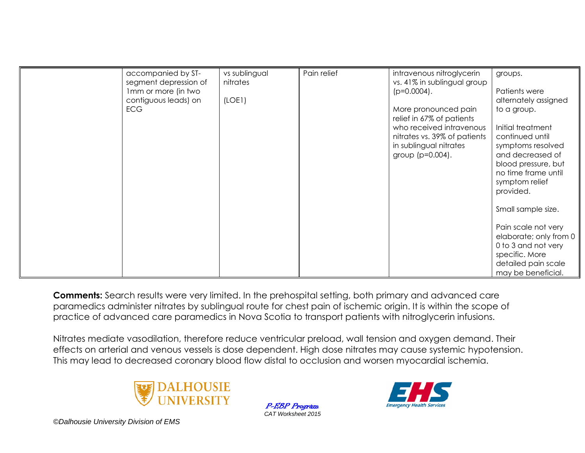| accompanied by ST-<br>segment depression of | vs sublingual<br>nitrates | Pain relief | intravenous nitroglycerin<br>vs. 41% in sublingual group | groups.                               |
|---------------------------------------------|---------------------------|-------------|----------------------------------------------------------|---------------------------------------|
| 1mm or more (in two                         |                           |             | $(p=0.0004)$ .                                           | Patients were                         |
| contiguous leads) on                        | (LOE1)                    |             |                                                          | alternately assigned                  |
| <b>ECG</b>                                  |                           |             | More pronounced pain<br>relief in 67% of patients        | to a group.                           |
|                                             |                           |             | who received intravenous                                 | Initial treatment                     |
|                                             |                           |             | nitrates vs. 39% of patients                             | continued until                       |
|                                             |                           |             | in sublingual nitrates<br>group (p=0.004).               | symptoms resolved<br>and decreased of |
|                                             |                           |             |                                                          | blood pressure, but                   |
|                                             |                           |             |                                                          | no time frame until                   |
|                                             |                           |             |                                                          | symptom relief                        |
|                                             |                           |             |                                                          | provided.                             |
|                                             |                           |             |                                                          | Small sample size.                    |
|                                             |                           |             |                                                          | Pain scale not very                   |
|                                             |                           |             |                                                          | elaborate; only from 0                |
|                                             |                           |             |                                                          | 0 to 3 and not very                   |
|                                             |                           |             |                                                          | specific. More                        |
|                                             |                           |             |                                                          | detailed pain scale                   |
|                                             |                           |             |                                                          | may be beneficial.                    |

**Comments:** Search results were very limited. In the prehospital setting, both primary and advanced care paramedics administer nitrates by sublingual route for chest pain of ischemic origin. It is within the scope of practice of advanced care paramedics in Nova Scotia to transport patients with nitroglycerin infusions.

Nitrates mediate vasodilation, therefore reduce ventricular preload, wall tension and oxygen demand. Their effects on arterial and venous vessels is dose dependent. High dose nitrates may cause systemic hypotension. This may lead to decreased coronary blood flow distal to occlusion and worsen myocardial ischemia.



P-EBP Program *CAT Worksheet 2015*



*©Dalhousie University Division of EMS*